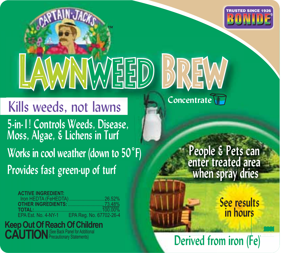

# WEED

™

**Formartive Controls Weeds, Disease, <br>Moss, Algae, & Lichens in Turf<br>Works in cool weather (down to 50°F)<br>Provides fast green up of turf <b>from the control when** spray **Moss, Algae, & Lichens in Turf** Kills weeds, not lawns **Works in cool weather (down to 50˚F) Provides fast green-up of turf**

| <b>ACTIVE INGREDIENT:</b> |                                             |
|---------------------------|---------------------------------------------|
|                           | Iron HEDTA (FeHEDTA)  26.52%                |
|                           |                                             |
|                           |                                             |
|                           | EPA Est. No. 4-NY-1 EPA Rea. No. 67702-26-4 |

**Keep Out Of Reach Of Children CAUTION**<sup>See Back Panel for Additional</sup>

**F)**<br>**F**<br>**F**<br>**F**<br>**F** 

**People & Pets can enter treated area when spray dries People & Pets can enter treated area p**

 **in hours**

**Property dries**<br> **See results**<br> **in hours**<br> **Derived from iron (Fe)**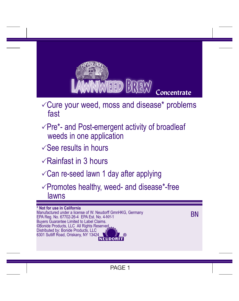

- $\sqrt{C}$ ure your weed, moss and disease\* problems fast
- $\sqrt{P}$ re\*- and Post-emergent activity of broadleaf weeds in one application
- $\sqrt{\frac{266}{1}}$  results in hours
- $\sqrt{R}$ ainfast in 3 hours
- $\sqrt{C}$ an re-seed lawn 1 day after applying
- $\sqrt{P}$  Promotes healthy, weed- and disease\*-free lawns

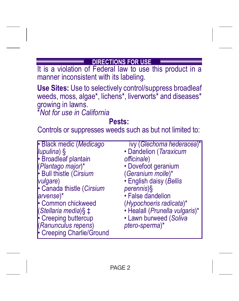#### **DIRECTIONS FOR USE**

It is a violation of Federal law to use this product in a manner inconsistent with its labeling.

**Use Sites:** Use to selectively control/suppress broadleaf weeds, moss, algae\*, lichens\*, liverworts\* and diseases\* growing in lawns.

\**Not for use in California*

# **Pests:**

Controls or suppresses weeds such as but not limited to:

| · Black medic (Medicago   | ivy (Glechoma hederacea)*      |
|---------------------------|--------------------------------|
| lupulina) §               | • Dandelion (Taraxicum         |
| <b>Broadleaf plantain</b> | officinale)                    |
| (Plantago major)*         | • Dovefoot geranium            |
| Bull thistle (Cirsium     | (Geranium molle)*              |
| <i>vulgare</i> )          | • English daisy (Bellis        |
| Canada thistle (Cirsium   | perennis)§                     |
| arvense)*                 | · False dandelion              |
| Common chickweed          | (Hypochoeris radicata)*        |
| (Stellaria media)§ ‡      | • Healall (Prunella vulgaris)* |
| • Creeping buttercup      | · Lawn burweed (Soliva         |
| (Ranunculus repens)       | ptero-sperma)*                 |
| Creeping Charlie/Ground   |                                |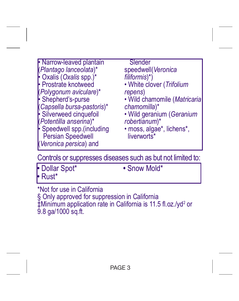| • Narrow-leaved plantain                                                       | Slender                                  |
|--------------------------------------------------------------------------------|------------------------------------------|
| (Plantago lanceolata)*                                                         | speedwell(Veronica                       |
| $\cdot$ Oxalis (Oxalis spp.)*                                                  | filiformis)*)                            |
| • Prostrate knotweed                                                           | • White clover (Trifolium                |
| (Polygonum aviculare)*                                                         | repens)                                  |
| Shepherd's-purse                                                               | · Wild chamomile (Matricaria             |
| (Capsella bursa-pastoris)*                                                     | chamomilla)*                             |
| Silverweed cinquefoil                                                          | • Wild geranium (Geranium                |
| (Potentilla anserina)*                                                         | robertianum)*                            |
| Speedwell spp.(including<br><b>Persian Speedwell</b><br>(Veronica persica) and | · moss, algae*, lichens*,<br>liverworts* |

Controls or suppresses diseases such as but not limited to:

| • Dollar Spot* | • Snow Mold* |
|----------------|--------------|
| l• Rust*       |              |

\*Not for use in California § Only approved for suppression in California ‡Minimum application rate in California is 11.5 fl.oz./yd<sup>2</sup> or 9.8 ga/1000 sq.ft.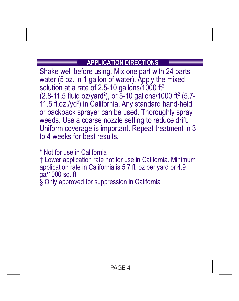### **APPLICATION DIRECTIONS**

Shake well before using. Mix one part with 24 parts water (5 oz. in 1 gallon of water). Apply the mixed solution at a rate of 2.5-10 gallons/1000 ft<sup>2</sup>  $(2.8-11.5 \text{ fluid oz/} \text{grad}^2)$ , or 5-10 gallons/1000 ft<sup>2</sup> (5.7-11.5 fl.oz./yd<sup>2</sup> ) in California. Any standard hand-held or backpack sprayer can be used. Thoroughly spray weeds. Use a coarse nozzle setting to reduce drift. Uniform coverage is important. Repeat treatment in 3 to 4 weeks for best results.

\* Not for use in California † Lower application rate not for use in California. Minimum application rate in California is 5.7 fl. oz per yard or 4.9 ga/1000 sq. ft. § Only approved for suppression in California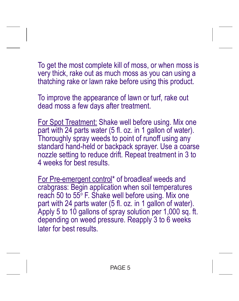To get the most complete kill of moss, or when moss is very thick, rake out as much moss as you can using a thatching rake or lawn rake before using this product.

To improve the appearance of lawn or turf, rake out dead moss a few days after treatment.

For Spot Treatment: Shake well before using. Mix one part with 24 parts water (5 fl. oz. in 1 gallon of water). Thoroughly spray weeds to point of runoff using any standard hand-held or backpack sprayer. Use a coarse nozzle setting to reduce drift. Repeat treatment in 3 to 4 weeks for best results.

For Pre-emergent control\* of broadleaf weeds and crabgrass: Begin application when soil temperatures reach 50 to 55° F. Shake well before using. Mix one part with 24 parts water (5 fl. oz. in 1 gallon of water). Apply 5 to 10 gallons of spray solution per 1,000 sq. ft. depending on weed pressure. Reapply 3 to 6 weeks later for best results.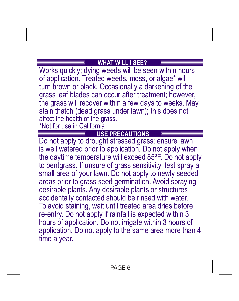#### **WHAT WILL I SEE?**

Works quickly; dying weeds will be seen within hours of application. Treated weeds, moss, or algae\* will turn brown or black. Occasionally a darkening of the grass leaf blades can occur after treatment; however, the grass will recover within a few days to weeks. May stain thatch (dead grass under lawn); this does not affect the health of the grass.

\*Not for use in California

#### **USE PRECAUTIONS**

Do not apply to drought stressed grass; ensure lawn is well watered prior to application. Do not apply when the daytime temperature will exceed 85ºF. Do not apply to bentgrass. If unsure of grass sensitivity, test spray a small area of your lawn. Do not apply to newly seeded areas prior to grass seed germination. Avoid spraying desirable plants. Any desirable plants or structures accidentally contacted should be rinsed with water. To avoid staining, wait until treated area dries before re-entry. Do not apply if rainfall is expected within 3 hours of application. Do not irrigate within 3 hours of application. Do not apply to the same area more than 4 time a year.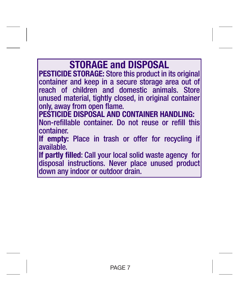## **STORAGE and DISPOSAL PESTICIDE STORAGE:** Store this product in its original container and keep in a secure storage area out of reach of children and domestic animals. Store unused material, tightly closed, in original container only, away from open flame. **PESTICIDE DISPOSAL AND CONTAINER HANDLING:** Non-refillable container. Do not reuse or refill this container. **If empty:** Place in trash or offer for recycling if available. **If partly filled**: Call your local solid waste agency for disposal instructions. Never place unused product down any indoor or outdoor drain.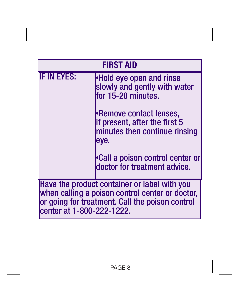| <b>FIRST AID</b>                                                                                                                                                                |                                                                                                    |
|---------------------------------------------------------------------------------------------------------------------------------------------------------------------------------|----------------------------------------------------------------------------------------------------|
| <b>IF IN EYES:</b>                                                                                                                                                              | Hold eye open and rinse<br>slowly and gently with water<br>for 15-20 minutes.                      |
|                                                                                                                                                                                 | •Remove contact lenses,<br>if present, after the first 5<br>minutes then continue rinsing<br>leye. |
|                                                                                                                                                                                 | <b>Call a poison control center or</b><br>doctor for treatment advice.                             |
| Have the product container or label with you<br>when calling a poison control center or doctor,<br>or going for treatment. Call the poison control<br>center at 1-800-222-1222. |                                                                                                    |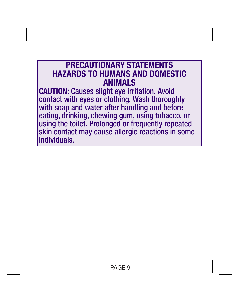# **PRECAUTIONARY STATEMENTS HAZARDS TO HUMANS AND DOMESTIC ANIMALS**

**CAUTION:** Causes slight eye irritation. Avoid contact with eyes or clothing. Wash thoroughly with soap and water after handling and before eating, drinking, chewing gum, using tobacco, or using the toilet. Prolonged or frequently repeated skin contact may cause allergic reactions in some individuals.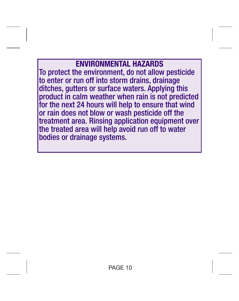**ENVIRONMENTAL HAZARDS** To protect the environment, do not allow pesticide to enter or run off into storm drains, drainage ditches, gutters or surface waters. Applying this product in calm weather when rain is not predicted for the next 24 hours will help to ensure that wind or rain does not blow or wash pesticide off the treatment area. Rinsing application equipment over the treated area will help avoid run off to water bodies or drainage systems.